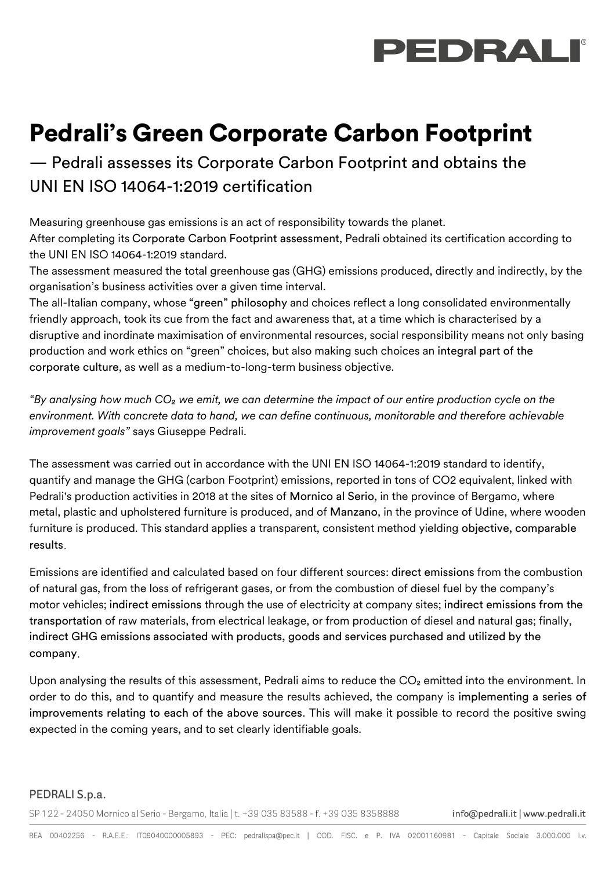

## Pedrali's Green Corporate Carbon Footprint

— Pedrali assesses its Corporate Carbon Footprint and obtains the UNI EN ISO 14064-1:2019 certification

Measuring greenhouse gas emissions is an act of responsibility towards the planet. After completing its Corporate Carbon Footprint assessment, Pedrali obtained its certification according to the UNI EN ISO 14064-1:2019 standard.

The assessment measured the total greenhouse gas (GHG) emissions produced, directly and indirectly, by the organisation's business activities over a given time interval.

The all-Italian company, whose "green" philosophy and choices reflect a long consolidated environmentally friendly approach, took its cue from the fact and awareness that, at a time which is characterised by a disruptive and inordinate maximisation of environmental resources, social responsibility means not only basing production and work ethics on "green" choices, but also making such choices an integral part of the corporate culture, as well as a medium-to-long-term business objective.

*"By analysing how much CO₂ we emit, we can determine the impact of our entire production cycle on the environment. With concrete data to hand, we can define continuous, monitorable and therefore achievable improvement goals"* says Giuseppe Pedrali.

The assessment was carried out in accordance with the UNI EN ISO 14064-1:2019 standard to identify, quantify and manage the GHG (carbon Footprint) emissions, reported in tons of CO2 equivalent, linked with Pedrali's production activities in 2018 at the sites of Mornico al Serio, in the province of Bergamo, where metal, plastic and upholstered furniture is produced, and of Manzano, in the province of Udine, where wooden furniture is produced. This standard applies a transparent, consistent method yielding objective, comparable results

Emissions are identified and calculated based on four different sources: direct emissions from the combustion of natural gas, from the loss of refrigerant gases, or from the combustion of diesel fuel by the company's motor vehicles; indirect emissions through the use of electricity at company sites; indirect emissions from the transportation of raw materials, from electrical leakage, or from production of diesel and natural gas; finally, indirect GHG emissions associated with products, goods and services purchased and utilized by the company

Upon analysing the results of this assessment, Pedrali aims to reduce the CO<sub>2</sub> emitted into the environment. In order to do this, and to quantify and measure the results achieved, the company is implementing a series of improvements relating to each of the above sources. This will make it possible to record the positive swing expected in the coming years, and to set clearly identifiable goals.

## PEDRALI S.p.a.

SP 122 - 24050 Mornico al Serio - Bergamo, Italia | t. +39 035 83588 - f. +39 035 8358888

info@pedrali.it | www.pedrali.it